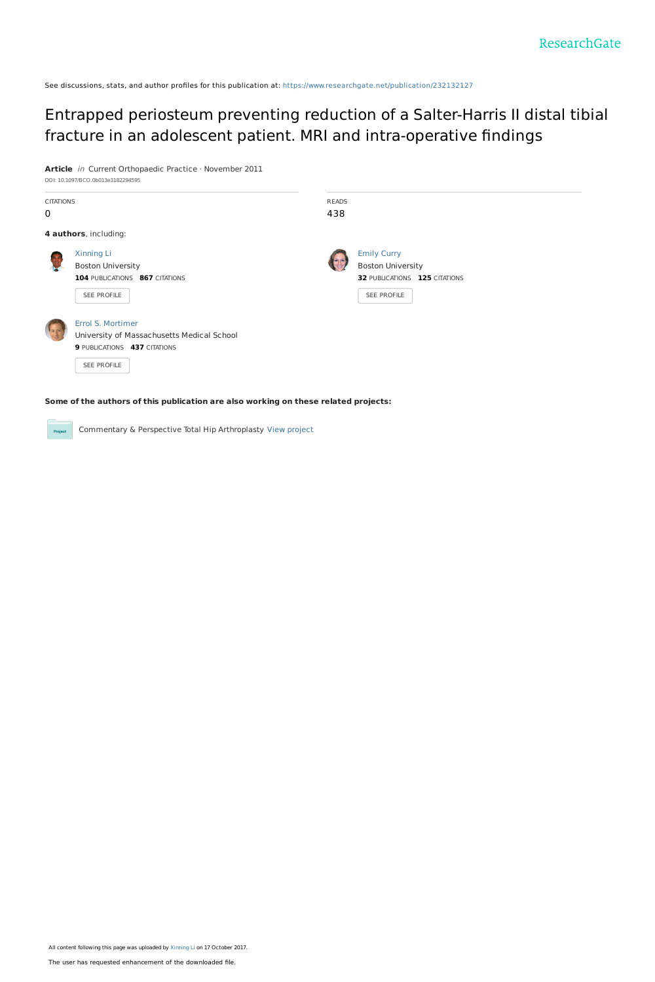See discussions, stats, and author profiles for this publication at: [https://www.researchgate.net/publication/232132127](https://www.researchgate.net/publication/232132127_Entrapped_periosteum_preventing_reduction_of_a_Salter-Harris_II_distal_tibial_fracture_in_an_adolescent_patient_MRI_and_intra-operative_findings?enrichId=rgreq-5f356e2aaf31ad28313da0eb6f592a67-XXX&enrichSource=Y292ZXJQYWdlOzIzMjEzMjEyNztBUzo1NTA1NDQ0NDU0NTYzOTZAMTUwODI3MTQzMjY5Ng%3D%3D&el=1_x_2&_esc=publicationCoverPdf)

## Entrapped periosteum preventing reduction of a Salter-Harris II distal tibial fracture in an adolescent patient. MRI and [intra-operative](https://www.researchgate.net/publication/232132127_Entrapped_periosteum_preventing_reduction_of_a_Salter-Harris_II_distal_tibial_fracture_in_an_adolescent_patient_MRI_and_intra-operative_findings?enrichId=rgreq-5f356e2aaf31ad28313da0eb6f592a67-XXX&enrichSource=Y292ZXJQYWdlOzIzMjEzMjEyNztBUzo1NTA1NDQ0NDU0NTYzOTZAMTUwODI3MTQzMjY5Ng%3D%3D&el=1_x_3&_esc=publicationCoverPdf) findings

**Article** in Current Orthopaedic Practice · November 2011

| DOI: 10.1097/BCO.0b013e3182294595 |                                            |              |                               |  |
|-----------------------------------|--------------------------------------------|--------------|-------------------------------|--|
| <b>CITATIONS</b>                  |                                            | <b>READS</b> |                               |  |
| $\mathbf 0$                       |                                            | 438          |                               |  |
|                                   | 4 authors, including:                      |              |                               |  |
|                                   | <b>Xinning Li</b>                          |              | <b>Emily Curry</b>            |  |
|                                   | <b>Boston University</b>                   |              | <b>Boston University</b>      |  |
|                                   | 104 PUBLICATIONS 867 CITATIONS             |              | 32 PUBLICATIONS 125 CITATIONS |  |
|                                   | SEE PROFILE                                |              | SEE PROFILE                   |  |
|                                   | Errol S. Mortimer                          |              |                               |  |
|                                   | University of Massachusetts Medical School |              |                               |  |
|                                   | 9 PUBLICATIONS 437 CITATIONS               |              |                               |  |
|                                   | SEE PROFILE                                |              |                               |  |
|                                   |                                            |              |                               |  |

**Some of the authors of this publication are also working on these related projects:**

Commentary & Perspective Total Hip Arthroplasty View [project](https://www.researchgate.net/project/Commentary-Perspective-Total-Hip-Arthroplasty?enrichId=rgreq-5f356e2aaf31ad28313da0eb6f592a67-XXX&enrichSource=Y292ZXJQYWdlOzIzMjEzMjEyNztBUzo1NTA1NDQ0NDU0NTYzOTZAMTUwODI3MTQzMjY5Ng%3D%3D&el=1_x_9&_esc=publicationCoverPdf)

Project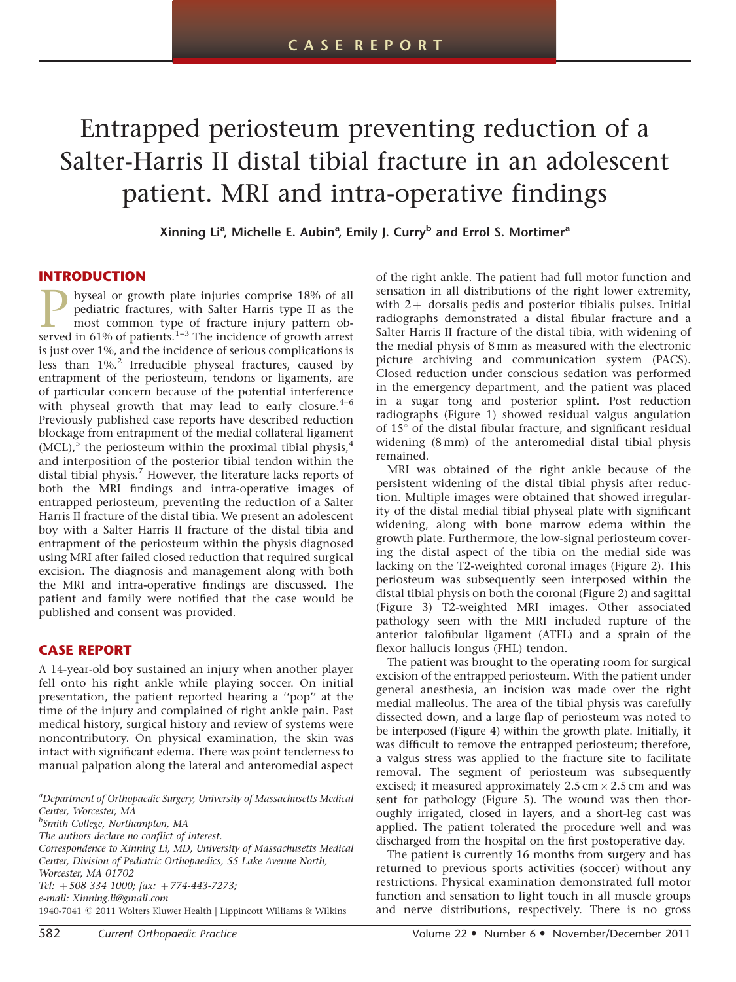# Entrapped periosteum preventing reduction of a Salter-Harris II distal tibial fracture in an adolescent patient. MRI and intra-operative findings

Xinning Li<sup>a</sup>, Michelle E. Aubin<sup>a</sup>, Emily J. Curry<sup>b</sup> and Errol S. Mortimer<sup>a</sup>

#### INTRODUCTION

**P** hyseal or growth plate injuries comprise 18% of all pediatric fractures, with Salter Harris type II as the most common type of fracture injury pattern observed in 61% of patients.<sup>1-3</sup> The incidence of growth arrest pediatric fractures, with Salter Harris type II as the most common type of fracture injury pattern obis just over 1%, and the incidence of serious complications is less than 1%.[2](#page-5-0) Irreducible physeal fractures, caused by entrapment of the periosteum, tendons or ligaments, are of particular concern because of the potential interference with physeal growth that may lead to early closure. $4-6$ Previously published case reports have described reduction blockage from entrapment of the medial collateral ligament  $(MCL)$ , the periosteum within the proximal tibial physis,<sup>[4](#page-5-0)</sup> and interposition of the posterior tibial tendon within the distal tibial physis.<sup>[7](#page-5-0)</sup> However, the literature lacks reports of both the MRI findings and intra-operative images of entrapped periosteum, preventing the reduction of a Salter Harris II fracture of the distal tibia. We present an adolescent boy with a Salter Harris II fracture of the distal tibia and entrapment of the periosteum within the physis diagnosed using MRI after failed closed reduction that required surgical excision. The diagnosis and management along with both the MRI and intra-operative findings are discussed. The patient and family were notified that the case would be published and consent was provided.

### CASE REPORT

A 14-year-old boy sustained an injury when another player fell onto his right ankle while playing soccer. On initial presentation, the patient reported hearing a ''pop'' at the time of the injury and complained of right ankle pain. Past medical history, surgical history and review of systems were noncontributory. On physical examination, the skin was intact with significant edema. There was point tenderness to manual palpation along the lateral and anteromedial aspect

<sup>b</sup>Smith College, Northampton, MA

Correspondence to Xinning Li, MD, University of Massachusetts Medical Center, Division of Pediatric Orthopaedics, 55 Lake Avenue North, Worcester, MA 01702

Tel:  $+508$  334 1000; fax:  $+774-443-7273$ ; e-mail: Xinning.li@gmail.com

1940-7041 © 2011 Wolters Kluwer Health | Lippincott Williams & Wilkins

of the right ankle. The patient had full motor function and sensation in all distributions of the right lower extremity, with  $2+$  dorsalis pedis and posterior tibialis pulses. Initial radiographs demonstrated a distal fibular fracture and a Salter Harris II fracture of the distal tibia, with widening of the medial physis of 8 mm as measured with the electronic picture archiving and communication system (PACS). Closed reduction under conscious sedation was performed in the emergency department, and the patient was placed in a sugar tong and posterior splint. Post reduction radiographs [\(Figure 1\)](#page-2-0) showed residual valgus angulation of  $15^{\circ}$  of the distal fibular fracture, and significant residual widening (8 mm) of the anteromedial distal tibial physis remained.

MRI was obtained of the right ankle because of the persistent widening of the distal tibial physis after reduction. Multiple images were obtained that showed irregularity of the distal medial tibial physeal plate with significant widening, along with bone marrow edema within the growth plate. Furthermore, the low-signal periosteum covering the distal aspect of the tibia on the medial side was lacking on the T2-weighted coronal images ([Figure 2](#page-2-0)). This periosteum was subsequently seen interposed within the distal tibial physis on both the coronal ([Figure 2\)](#page-2-0) and sagittal [\(Figure 3\)](#page-2-0) T2-weighted MRI images. Other associated pathology seen with the MRI included rupture of the anterior talofibular ligament (ATFL) and a sprain of the flexor hallucis longus (FHL) tendon.

The patient was brought to the operating room for surgical excision of the entrapped periosteum. With the patient under general anesthesia, an incision was made over the right medial malleolus. The area of the tibial physis was carefully dissected down, and a large flap of periosteum was noted to be interposed [\(Figure 4\)](#page-3-0) within the growth plate. Initially, it was difficult to remove the entrapped periosteum; therefore, a valgus stress was applied to the fracture site to facilitate removal. The segment of periosteum was subsequently excised; it measured approximately 2.5 cm  $\times$  2.5 cm and was sent for pathology [\(Figure 5](#page-3-0)). The wound was then thoroughly irrigated, closed in layers, and a short-leg cast was applied. The patient tolerated the procedure well and was discharged from the hospital on the first postoperative day.

The patient is currently 16 months from surgery and has returned to previous sports activities (soccer) without any restrictions. Physical examination demonstrated full motor function and sensation to light touch in all muscle groups and nerve distributions, respectively. There is no gross

<sup>&</sup>lt;sup>a</sup>Department of Orthopaedic Surgery, University of Massachusetts Medical Center, Worcester, MA

The authors declare no conflict of interest.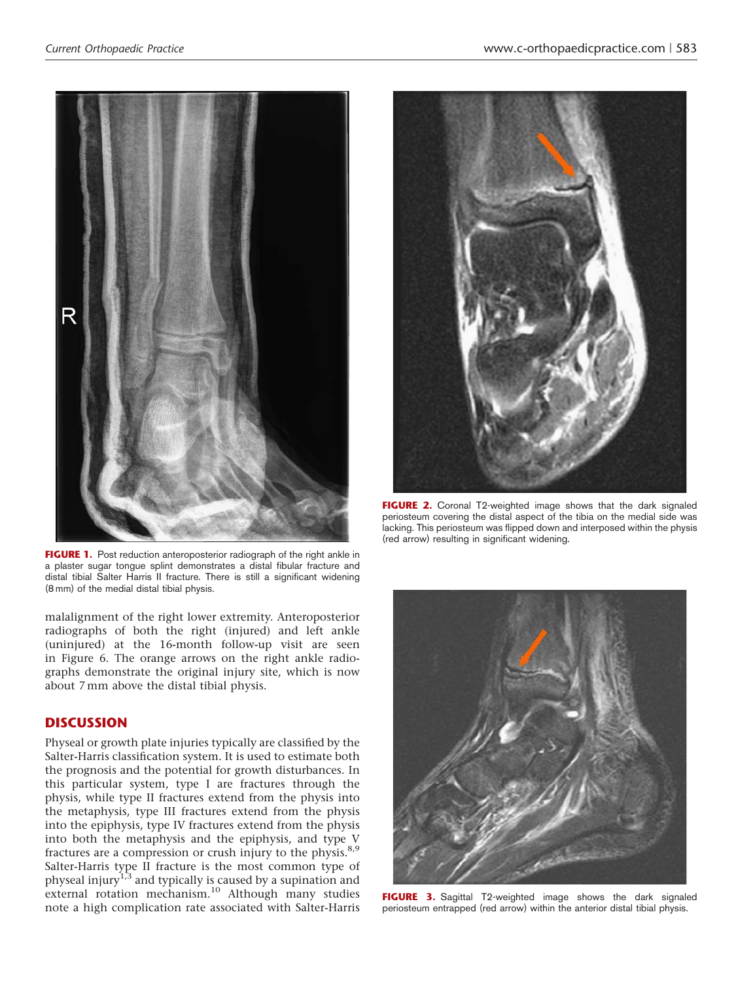<span id="page-2-0"></span>

FIGURE 1. Post reduction anteroposterior radiograph of the right ankle in a plaster sugar tongue splint demonstrates a distal fibular fracture and distal tibial Salter Harris II fracture. There is still a significant widening (8 mm) of the medial distal tibial physis.

malalignment of the right lower extremity. Anteroposterior radiographs of both the right (injured) and left ankle (uninjured) at the 16-month follow-up visit are seen in [Figure 6](#page-4-0). The orange arrows on the right ankle radiographs demonstrate the original injury site, which is now about 7 mm above the distal tibial physis.

#### **DISCUSSION**

Physeal or growth plate injuries typically are classified by the Salter-Harris classification system. It is used to estimate both the prognosis and the potential for growth disturbances. In this particular system, type I are fractures through the physis, while type II fractures extend from the physis into the metaphysis, type III fractures extend from the physis into the epiphysis, type IV fractures extend from the physis into both the metaphysis and the epiphysis, and type V fractures are a compression or crush injury to the physis.<sup>8,9</sup> Salter-Harris type II fracture is the most common type of physeal injury<sup>[1,3](#page-5-0)</sup> and typically is caused by a supination and external rotation mechanism.<sup>[10](#page-5-0)</sup> Although many studies note a high complication rate associated with Salter-Harris



FIGURE 2. Coronal T2-weighted image shows that the dark signaled periosteum covering the distal aspect of the tibia on the medial side was lacking. This periosteum was flipped down and interposed within the physis (red arrow) resulting in significant widening.



FIGURE 3. Sagittal T2-weighted image shows the dark signaled periosteum entrapped (red arrow) within the anterior distal tibial physis.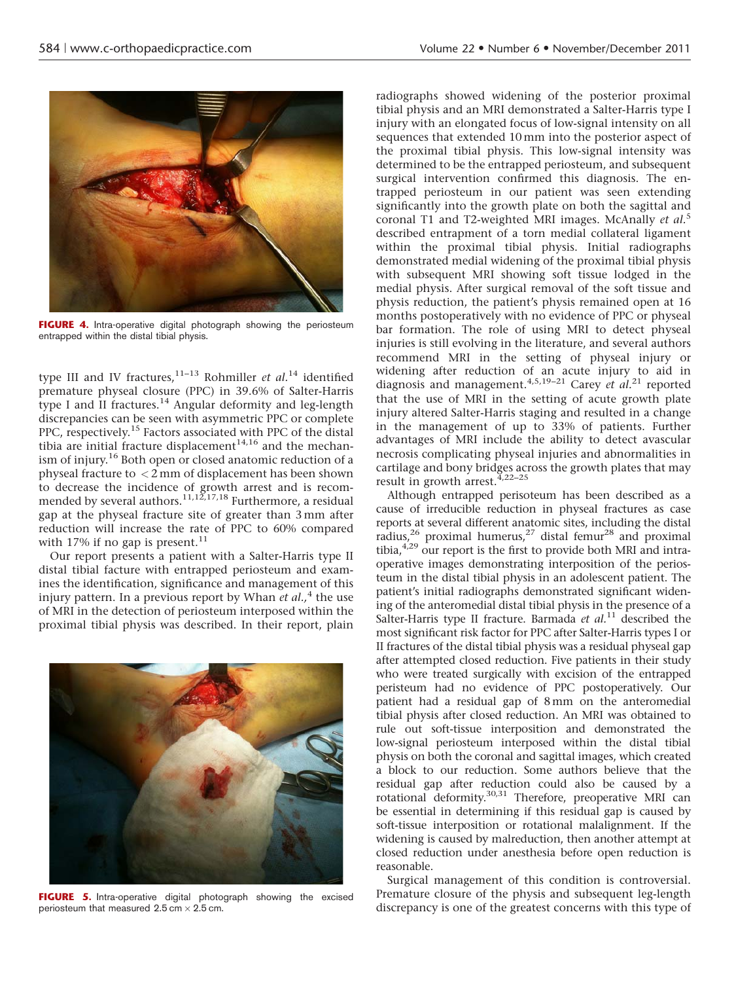<span id="page-3-0"></span>

FIGURE 4. Intra-operative digital photograph showing the periosteum entrapped within the distal tibial physis.

type III and IV fractures, $11-13$  Rohmiller et al.<sup>[14](#page-5-0)</sup> identified premature physeal closure (PPC) in 39.6% of Salter-Harris type I and II fractures.<sup>[14](#page-5-0)</sup> Angular deformity and leg-length discrepancies can be seen with asymmetric PPC or complete PPC, respectively.[15](#page-5-0) Factors associated with PPC of the distal tibia are initial fracture displacement<sup>[14,16](#page-5-0)</sup> and the mechanism of injury.[16](#page-5-0) Both open or closed anatomic reduction of a physeal fracture to < 2 mm of displacement has been shown to decrease the incidence of growth arrest and is recommended by several authors. $11,12,17,18$  Furthermore, a residual gap at the physeal fracture site of greater than 3 mm after reduction will increase the rate of PPC to 60% compared with 17% if no gap is present.  $^{\rm 11}$  $^{\rm 11}$  $^{\rm 11}$ 

Our report presents a patient with a Salter-Harris type II distal tibial facture with entrapped periosteum and examines the identification, significance and management of this injury pattern. In a previous report by Whan *et al.*,<sup>[4](#page-5-0)</sup> the use of MRI in the detection of periosteum interposed within the proximal tibial physis was described. In their report, plain



FIGURE 5. Intra-operative digital photograph showing the excised periosteum that measured 2.5 cm  $\times$  2.5 cm.

radiographs showed widening of the posterior proximal tibial physis and an MRI demonstrated a Salter-Harris type I injury with an elongated focus of low-signal intensity on all sequences that extended 10 mm into the posterior aspect of the proximal tibial physis. This low-signal intensity was determined to be the entrapped periosteum, and subsequent surgical intervention confirmed this diagnosis. The entrapped periosteum in our patient was seen extending significantly into the growth plate on both the sagittal and coronal T1 and T2-weighted MRI images. McAnally et al.<sup>[5](#page-5-0)</sup> described entrapment of a torn medial collateral ligament within the proximal tibial physis. Initial radiographs demonstrated medial widening of the proximal tibial physis with subsequent MRI showing soft tissue lodged in the medial physis. After surgical removal of the soft tissue and physis reduction, the patient's physis remained open at 16 months postoperatively with no evidence of PPC or physeal bar formation. The role of using MRI to detect physeal injuries is still evolving in the literature, and several authors recommend MRI in the setting of physeal injury or widening after reduction of an acute injury to aid in diagnosis and management.<sup>4,5,19-[21](#page-5-0)</sup> Carey et al.<sup>21</sup> reported that the use of MRI in the setting of acute growth plate injury altered Salter-Harris staging and resulted in a change in the management of up to 33% of patients. Further advantages of MRI include the ability to detect avascular necrosis complicating physeal injuries and abnormalities in cartilage and bony bridges across the growth plates that may result in growth arrest.<sup>4,22-25</sup>

Although entrapped perisoteum has been described as a cause of irreducible reduction in physeal fractures as case reports at several different anatomic sites, including the distal radius,<sup>26</sup> proximal humerus,<sup>27</sup> distal femur<sup>[28](#page-5-0)</sup> and proximal tibia, $4,29$  our report is the first to provide both MRI and intraoperative images demonstrating interposition of the periosteum in the distal tibial physis in an adolescent patient. The patient's initial radiographs demonstrated significant widening of the anteromedial distal tibial physis in the presence of a Salter-Harris type II fracture. Barmada et  $al$ .<sup>[11](#page-5-0)</sup> described the most significant risk factor for PPC after Salter-Harris types I or II fractures of the distal tibial physis was a residual physeal gap after attempted closed reduction. Five patients in their study who were treated surgically with excision of the entrapped peristeum had no evidence of PPC postoperatively. Our patient had a residual gap of 8mm on the anteromedial tibial physis after closed reduction. An MRI was obtained to rule out soft-tissue interposition and demonstrated the low-signal periosteum interposed within the distal tibial physis on both the coronal and sagittal images, which created a block to our reduction. Some authors believe that the residual gap after reduction could also be caused by a rotational deformity.[30,31](#page-5-0) Therefore, preoperative MRI can be essential in determining if this residual gap is caused by soft-tissue interposition or rotational malalignment. If the widening is caused by malreduction, then another attempt at closed reduction under anesthesia before open reduction is reasonable.

Surgical management of this condition is controversial. Premature closure of the physis and subsequent leg-length discrepancy is one of the greatest concerns with this type of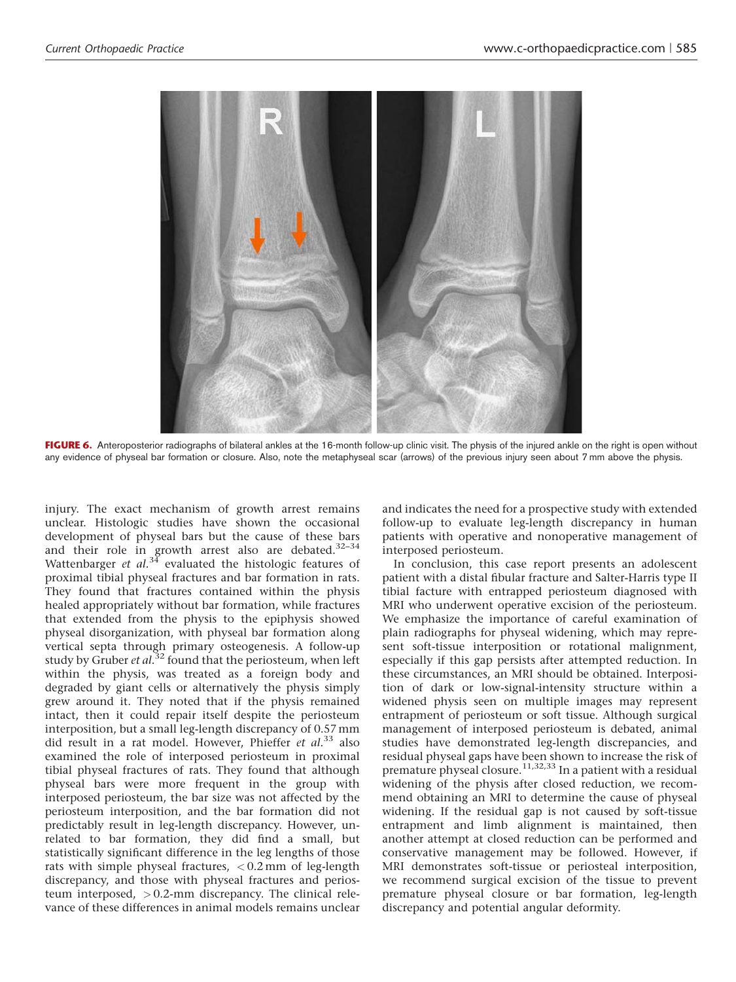<span id="page-4-0"></span>

FIGURE 6. Anteroposterior radiographs of bilateral ankles at the 16-month follow-up clinic visit. The physis of the injured ankle on the right is open without any evidence of physeal bar formation or closure. Also, note the metaphyseal scar (arrows) of the previous injury seen about 7 mm above the physis.

injury. The exact mechanism of growth arrest remains unclear. Histologic studies have shown the occasional development of physeal bars but the cause of these bars and their role in growth arrest also are debated. $32-34$ Wattenbarger et  $al^{34}$  $al^{34}$  $al^{34}$  evaluated the histologic features of proximal tibial physeal fractures and bar formation in rats. They found that fractures contained within the physis healed appropriately without bar formation, while fractures that extended from the physis to the epiphysis showed physeal disorganization, with physeal bar formation along vertical septa through primary osteogenesis. A follow-up study by Gruber et  $al$ .<sup>[32](#page-5-0)</sup> found that the periosteum, when left within the physis, was treated as a foreign body and degraded by giant cells or alternatively the physis simply grew around it. They noted that if the physis remained intact, then it could repair itself despite the periosteum interposition, but a small leg-length discrepancy of 0.57 mm did result in a rat model. However, Phieffer et  $al.^{33}$  $al.^{33}$  $al.^{33}$  also examined the role of interposed periosteum in proximal tibial physeal fractures of rats. They found that although physeal bars were more frequent in the group with interposed periosteum, the bar size was not affected by the periosteum interposition, and the bar formation did not predictably result in leg-length discrepancy. However, unrelated to bar formation, they did find a small, but statistically significant difference in the leg lengths of those rats with simple physeal fractures, < 0.2 mm of leg-length discrepancy, and those with physeal fractures and periosteum interposed, > 0.2-mm discrepancy. The clinical relevance of these differences in animal models remains unclear

and indicates the need for a prospective study with extended follow-up to evaluate leg-length discrepancy in human patients with operative and nonoperative management of interposed periosteum.

In conclusion, this case report presents an adolescent patient with a distal fibular fracture and Salter-Harris type II tibial facture with entrapped periosteum diagnosed with MRI who underwent operative excision of the periosteum. We emphasize the importance of careful examination of plain radiographs for physeal widening, which may represent soft-tissue interposition or rotational malignment, especially if this gap persists after attempted reduction. In these circumstances, an MRI should be obtained. Interposition of dark or low-signal-intensity structure within a widened physis seen on multiple images may represent entrapment of periosteum or soft tissue. Although surgical management of interposed periosteum is debated, animal studies have demonstrated leg-length discrepancies, and residual physeal gaps have been shown to increase the risk of premature physeal closure.<sup>[11,32,33](#page-5-0)</sup> In a patient with a residual widening of the physis after closed reduction, we recommend obtaining an MRI to determine the cause of physeal widening. If the residual gap is not caused by soft-tissue entrapment and limb alignment is maintained, then another attempt at closed reduction can be performed and conservative management may be followed. However, if MRI demonstrates soft-tissue or periosteal interposition, we recommend surgical excision of the tissue to prevent premature physeal closure or bar formation, leg-length discrepancy and potential angular deformity.